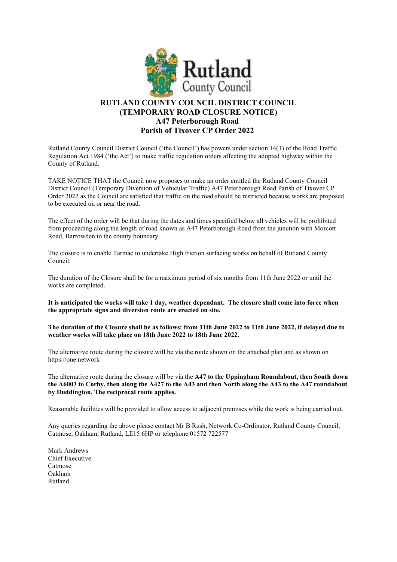

## RUTLAND COUNTY COUNCIL DISTRICT COUNCIL (TEMPORARY ROAD CLOSURE NOTICE) A47 Peterborough Road Parish of Tixover CP Order 2022

Rutland County Council District Council ('the Council') has powers under section 14(1) of the Road Traffic Regulation Act 1984 ('the Act') to make traffic regulation orders affecting the adopted highway within the County of Rutland.

TAKE NOTICE THAT the Council now proposes to make an order entitled the Rutland County Council District Council (Temporary Diversion of Vehicular Traffic) A47 Peterborough Road Parish of Tixover CP Order 2022 as the Council are satisfied that traffic on the road should be restricted because works are proposed to be executed on or near the road.

The effect of the order will be that during the dates and times specified below all vehicles will be prohibited from proceeding along the length of road known as A47 Peterborough Road from the junction with Morcott Road, Barrowden to the county boundary.

The closure is to enable Tarmac to undertake High friction surfacing works on behalf of Rutland County Council.

The duration of the Closure shall be for a maximum period of six months from 11th June 2022 or until the works are completed.

It is anticipated the works will take 1 day, weather dependant. The closure shall come into force when the appropriate signs and diversion route are erected on site.

The duration of the Closure shall be as follows: from 11th June 2022 to 11th June 2022, if delayed due to weather works will take place on 18th June 2022 to 18th June 2022.

The alternative route during the closure will be via the route shown on the attached plan and as shown on https://one.network

The alternative route during the closure will be via the A47 to the Uppingham Roundabout, then South down the A6003 to Corby, then along the A427 to the A43 and then North along the A43 to the A47 roundabout by Duddington. The reciprocal route applies.

Reasonable facilities will be provided to allow access to adjacent premises while the work is being carried out.

Any queries regarding the above please contact Mr B Rush, Network Co-Ordinator, Rutland County Council, Catmose, Oakham, Rutland, LE15 6HP or telephone 01572 722577

Mark Andrews Chief Executive Catmose Oakham Rutland